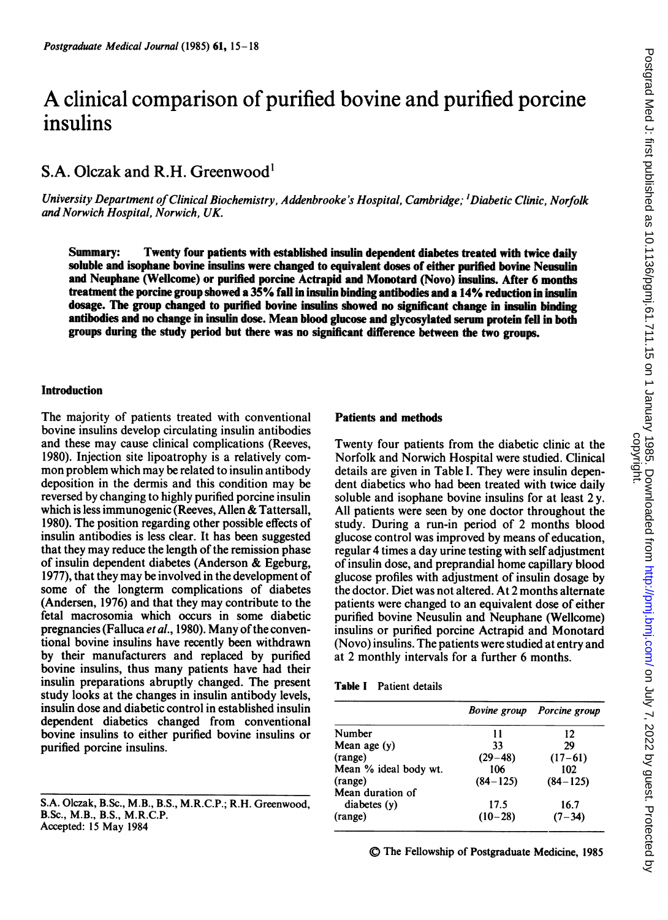# A clinical comparison of purified bovine and purified porcine insulins

## S.A. Olczak and R.H. Greenwood'

University Department of Clinical Biochemistry, Addenbrooke's Hospital, Cambridge; <sup>1</sup> Diabetic Clinic, Norfolk and Norwich Hospital, Norwich, UK.

Summary: Twenty four patients with established insulin dependent diabetes treated with twice daily soluble and isophane bovine insulins were changed to equivalent doses of either purified bovine Neusulin and Neuphane (Wellcome) or purified porcine Actrapid and Monotard (Novo) insulins. After 6 months treatment the porcine group showed <sup>a</sup> 35% fail in insulin binding antibodies and a 14% reduction in insulin dosage. The group changed to purified bovine insulins showed no significant change in insulin binding antibodies and no change in insulin dose. Mean blood glucose and glycosylated serum protein fell in both groups during the study period but there was no significant difference between the two groups.

### **Introduction**

The majority of patients treated with conventional bovine insulins develop circulating insulin antibodies and these may cause clinical complications (Reeves, 1980). Injection site lipoatrophy is a relatively common problem which may be related to insulin antibody deposition in the dermis and this condition may be reversed by changing to highly purified porcine insulin which is less immunogenic (Reeves, Allen & Tattersall, 1980). The position regarding other possible effects of insulin antibodies is less clear. It has been suggested that they may reduce the length of the remission phase of insulin dependent diabetes (Anderson & Egeburg, 1977), that they may be involved in the development of some of the longterm complications of diabetes (Andersen, 1976) and that they may contribute to the fetal macrosomia which occurs in some diabetic pregnancies (Falluca *et al.*, 1980). Many of the conventional bovine insulins have recently been withdrawn by their manufacturers and replaced by purified bovine insulins, thus many patients have had their insulin preparations abruptly changed. The present study looks at the changes in insulin antibody levels, insulin dose and diabetic control in established insulin dependent diabetics changed from conventional bovine insulins to either purified bovine insulins or purified porcine insulins.

#### Patients and methods

Twenty four patients from the diabetic clinic at the Norfolk and Norwich Hospital were studied. Clinical details are given in Table I. They were insulin dependent diabetics who had been treated with twice daily soluble and isophane bovine insulins for at least  $2y$ . All patients were seen by one doctor throughout the study. During a run-in period of 2 months blood glucose control was improved by means of education, regular 4 times a day urine testing with self adjustment of insulin dose, and preprandial home capillary blood glucose profiles with adjustment of insulin dosage by the doctor. Diet was not altered. At 2 months alternate patients were changed to an equivalent dose of either purified bovine Neusulin and Neuphane (Wellcome) insulins or purified porcine Actrapid and Monotard (Novo) insulins. The patients were studied at entry and at 2 monthly intervals for a further 6 months.

|                       |              | Bovine group Porcine group |
|-----------------------|--------------|----------------------------|
| Number                | 11           | 12                         |
| Mean age $(y)$        | 33           | 29                         |
| (range)               | $(29 - 48)$  | $(17-61)$                  |
| Mean % ideal body wt. | 106          | 102                        |
| (range)               | $(84 - 125)$ | $(84 - 125)$               |
| Mean duration of      |              |                            |
| diabetes $(y)$        | 17.5         | 16.7                       |
| (range)               | $(10-28)$    | $(7 - 34)$                 |

S.A. Olczak, B.Sc., M.B., B.S., M.R.C.P.; R.H. Greenwood, B.Sc., M.B., B.S., M.R.C.P. Accepted: <sup>15</sup> May 1984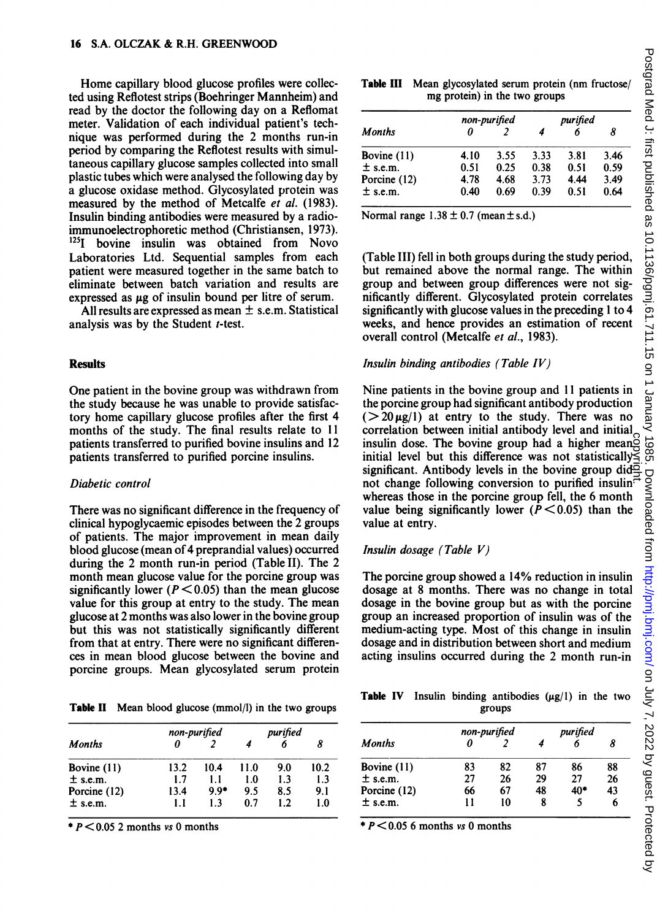Home capillary blood glucose profiles were collected using Reflotest strips (Boehringer Mannheim) and read by the doctor the following day on a Reflomat meter. Validation of each individual patient's technique was performed during the 2 months run-in period by comparing the Reflotest results with simultaneous capillary glucose samples collected into small plastic tubes which were analysed the following day by a glucose oxidase method. Glycosylated protein was measured by the method of Metcalfe et al. (1983). Insulin binding antibodies were measured by a radioimmunoelectrophoretic method (Christiansen, 1973). 125I bovine insulin was obtained from Novo Laboratories Ltd. Sequential samples from each patient were measured together in the same batch to eliminate between batch variation and results are expressed as  $\mu$ g of insulin bound per litre of serum.

All results are expressed as mean  $\pm$  s.e.m. Statistical analysis was by the Student t-test.

#### **Results**

One patient in the bovine group was withdrawn from the study because he was unable to provide satisfactory home capillary glucose profiles after the first 4 months of the study. The final results relate to <sup>11</sup> patients transferred to purified bovine insulins and 12 patients transferred to purified porcine insulins.

## Diabetic control

There was no significant difference in the frequency of clinical hypoglycaemic episodes between the 2 groups of patients. The major improvement in mean daily blood glucose (mean of 4 preprandial values) occurred during the 2 month run-in period (Table II). The 2 month mean glucose value for the porcine group was significantly lower ( $P < 0.05$ ) than the mean glucose value for this group at entry to the study. The mean glucose at 2 months was also lower in the bovine group but this was not statistically significantly different from that at entry. There were no significant differences in mean blood glucose between the bovine and porcine groups. Mean glycosylated serum protein

Table II Mean blood glucose (mmol/l) in the two groups

|               | non-purified |       | purified |     |      |
|---------------|--------------|-------|----------|-----|------|
| <b>Months</b> |              |       |          |     |      |
| Bovine (11)   | 13.2         | 10.4  | 11.0     | 9.0 | 10.2 |
| $\pm$ s.e.m.  | 1.7          | 1.1   | 1.0      | 1.3 | 1.3  |
| Porcine (12)  | 13.4         | $99*$ | 9.5      | 8.5 | 9.1  |
| $±$ s.e.m.    | 11           | 13    | 07       | 12  | 1.0  |

 $* P < 0.05$  2 months vs 0 months

| Table III | Mean glycosylated serum protein (nm fructose) |
|-----------|-----------------------------------------------|
|           | mg protein) in the two groups                 |

|               | non-purified |      | purified |      |      |
|---------------|--------------|------|----------|------|------|
| <b>Months</b> |              |      |          |      |      |
| Bovine $(11)$ | 4.10         | 3.55 | 3.33     | 3.81 | 3.46 |
| $\pm$ s.e.m.  | 0.51         | 0.25 | 0.38     | 0.51 | 0.59 |
| Porcine (12)  | 4.78         | 4.68 | 3.73     | 4.44 | 3.49 |
| $±$ s.e.m.    | 0.40         | 0.69 | 0.39     | 0.51 | 0.64 |

Normal range  $1.38 \pm 0.7$  (mean  $\pm$  s.d.)

(Table III) fell in both groups during the study period, but remained above the normal range. The within group and between group differences were not significantly different. Glycosylated protein correlates significantly with glucose values in the preceding <sup>1</sup> to 4 weeks, and hence provides an estimation of recent overall control (Metcalfe et al., 1983).

## Insulin binding antibodies (Table IV)

Nine patients in the bovine group and <sup>11</sup> patients in the porcine group had significant antibody production  $(220 \mu g/l)$  at entry to the study. There was no correlation between initial antibody level and initial insulin dose. The bovine group had a higher mean initial level but this difference was not statistically insulin dose. The bovine group had a higher mean<sup>2</sup> initial level but this difference was not statistically significant. Antibody levels in the bovine group didentity and the bovine group didentity and the bovine group di not change following conversion to purified insulin<sup>7</sup> whereas those in the porcine group fell, the 6 month value being significantly lower ( $P < 0.05$ ) than the value at entry.

## Insulin dosage (Table V)

The porcine group showed a 14% reduction in insulin dosage at 8 months. There was no change in total dosage in the bovine group but as with the porcine group an increased proportion of insulin was of the medium-acting type. Most of this change in insulin dosage and in distribution between short and medium acting insulins occurred during the 2 month run-in

|  |  | <b>Table IV</b> Insulin binding antibodies $(\mu g/l)$ in the two |  |  |
|--|--|-------------------------------------------------------------------|--|--|
|  |  | groups                                                            |  |  |

|              | non-purified |    | purified |     |    |
|--------------|--------------|----|----------|-----|----|
| Months       |              |    |          |     |    |
| Bovine (11)  | 83           | 82 | 87       | 86  | 88 |
| $±$ s.e.m.   | 27           | 26 | 29       | 27  | 26 |
| Porcine (12) | 66           | 67 | 48       | 40* | 43 |
| $±$ s.e.m.   | 11           | 10 | 8        |     | 6  |

 $* P \leq 0.05$  6 months vs 0 months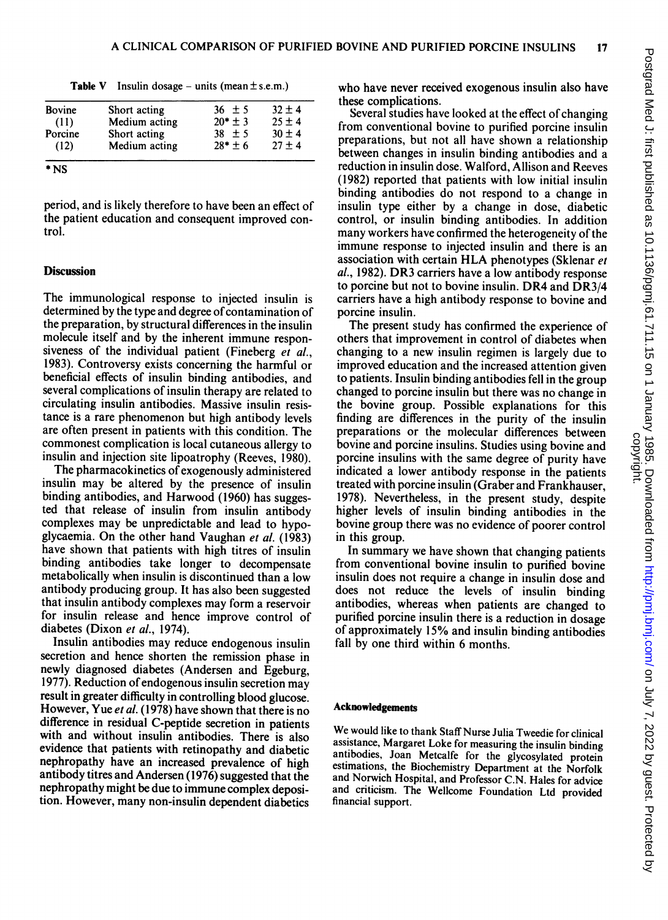| <b>Table V</b> Insulin dosage – units (mean $\pm$ s.e.m.) |  |  |
|-----------------------------------------------------------|--|--|
|-----------------------------------------------------------|--|--|

| <b>Bovine</b>   | Short acting                  | $36 \pm 5$              | $32 + 4$             |
|-----------------|-------------------------------|-------------------------|----------------------|
| (11)<br>Porcine | Medium acting<br>Short acting | $20* + 3$<br>$38 \pm 5$ | $25 + 4$<br>$30 + 4$ |
| (12)            | Medium acting                 | $28* + 6$               | $27 + 4$             |

\*NS

period, and is likely therefore to have been an effect of the patient education and consequent improved control.

#### **Discussion**

The immunological response to injected insulin is determined by the type and degree of contamination of the preparation, by structural differences in the insulin molecule itself and by the inherent immune responsiveness of the individual patient (Fineberg et al., 1983). Controversy exists concerning the harmful or beneficial effects of insulin binding antibodies, and several complications of insulin therapy are related to circulating insulin antibodies. Massive insulin resistance is a rare phenomenon but high antibody levels are often present in patients with this condition. The commonest complication is local cutaneous allergy to insulin and injection site lipoatrophy (Reeves, 1980).

The pharmacokinetics of exogenously administered insulin may be altered by the presence of insulin binding antibodies, and Harwood (1960) has suggested that release of insulin from insulin antibody complexes may be unpredictable and lead to hypoglycaemia. On the other hand Vaughan et al. (1983) have shown that patients with high titres of insulin binding antibodies take longer to decompensate metabolically when insulin is discontinued than a low antibody producing group. It has also been suggested that insulin antibody complexes may form a reservoir for insulin release and hence improve control of diabetes (Dixon et al., 1974).

Insulin antibodies may reduce endogenous insulin secretion and hence shorten the remission phase in newly diagnosed diabetes (Andersen and Egeburg, 1977). Reduction of endogenous insulin secretion may result in greater difficulty in controlling blood glucose. However, Yue et al. (1978) have shown that there is no difference in residual C-peptide secretion in patients with and without insulin antibodies. There is also evidence that patients with retinopathy and diabetic nephropathy have an increased prevalence of high antibody titres and Andersen (1976) suggested that the nephropathy might be due to immune complex deposition. However, many non-insulin dependent diabetics

who have never received exogenous insulin also have these complications.

Several studies have looked at the effect of changing from conventional bovine to purified porcine insulin preparations, but not all have shown a relationship between changes in insulin binding antibodies and a reduction in insulin dose. Walford, Allison and Reeves (1982) reported that patients with low initial insulin binding antibodies do not respond to a change in insulin type either by a change in dose, diabetic control, or insulin binding antibodies. In addition many workers have confirmed the heterogeneity of the immune response to injected insulin and there is an association with certain HLA phenotypes (Sklenar et al., 1982). DR3 carriers have <sup>a</sup> low antibody response to porcine but not to bovine insulin. DR4 and DR3/4 carriers have a high antibody response to bovine and porcine insulin.

The present study has confirmed the experience of others that improvement in control of diabetes when changing to a new insulin regimen is largely due to improved education and the increased attention given to patients. Insulin binding antibodies fell in the group changed to porcine insulin but there was no change in the bovine group. Possible explanations for this finding are differences in the purity of the insulin preparations or the molecular differences between bovine and porcine insulins. Studies using bovine and porcine insulins with the same degree of purity have indicated a lower antibody response in the patients treated with porcine insulin (Graber and Frankhauser, 1978). Nevertheless, in the present study, despite higher levels of insulin binding antibodies in the bovine group there was no evidence of poorer control in this group.

In summary we have shown that changing patients from conventional bovine insulin to purified bovine insulin does not require a change in insulin dose and does not reduce the levels of insulin binding antibodies, whereas when patients are changed to purified porcine insulin there is a reduction in dosage of approximately 15% and insulin binding antibodies fall by one third within 6 months.

#### Acknowledgements

We would like to thank Staff Nurse Julia Tweedie for clinical assistance, Margaret Loke for measuring the insulin binding antibodies, Joan Metcalfe for the glycosylated protein estimations, the Biochemistry Department at the Norfolk and Norwich Hospital, and Professor C.N. Hales for advice and criticism. The Wellcome Foundation Ltd provided financial support.